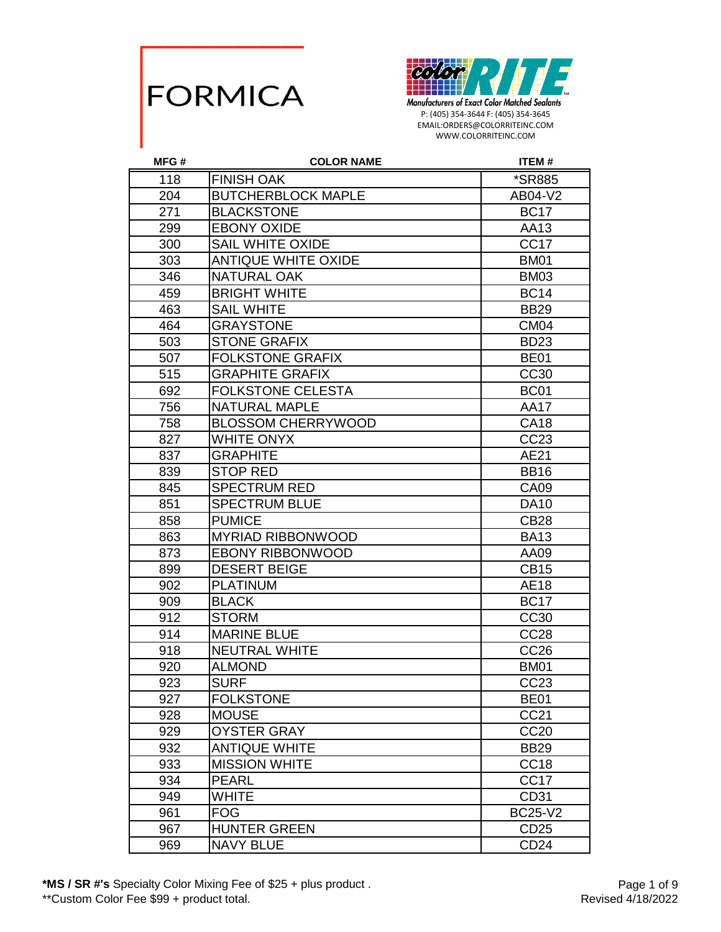



| MFG# | <b>COLOR NAME</b>          | <b>ITEM#</b>         |
|------|----------------------------|----------------------|
| 118  | <b>FINISH OAK</b>          | <i><b>*SR885</b></i> |
| 204  | <b>BUTCHERBLOCK MAPLE</b>  | AB04-V2              |
| 271  | <b>BLACKSTONE</b>          | <b>BC17</b>          |
| 299  | <b>EBONY OXIDE</b>         | AA13                 |
| 300  | <b>SAIL WHITE OXIDE</b>    | CC <sub>17</sub>     |
| 303  | <b>ANTIQUE WHITE OXIDE</b> | <b>BM01</b>          |
| 346  | <b>NATURAL OAK</b>         | <b>BM03</b>          |
| 459  | <b>BRIGHT WHITE</b>        | <b>BC14</b>          |
| 463  | <b>SAIL WHITE</b>          | <b>BB29</b>          |
| 464  | <b>GRAYSTONE</b>           | <b>CM04</b>          |
| 503  | <b>STONE GRAFIX</b>        | <b>BD23</b>          |
| 507  | <b>FOLKSTONE GRAFIX</b>    | <b>BE01</b>          |
| 515  | <b>GRAPHITE GRAFIX</b>     | CC30                 |
| 692  | <b>FOLKSTONE CELESTA</b>   | BC01                 |
| 756  | <b>NATURAL MAPLE</b>       | <b>AA17</b>          |
| 758  | <b>BLOSSOM CHERRYWOOD</b>  | <b>CA18</b>          |
| 827  | <b>WHITE ONYX</b>          | CC23                 |
| 837  | <b>GRAPHITE</b>            | AE21                 |
| 839  | <b>STOP RED</b>            | <b>BB16</b>          |
| 845  | <b>SPECTRUM RED</b>        | <b>CA09</b>          |
| 851  | <b>SPECTRUM BLUE</b>       | <b>DA10</b>          |
| 858  | <b>PUMICE</b>              | <b>CB28</b>          |
| 863  | <b>MYRIAD RIBBONWOOD</b>   | <b>BA13</b>          |
| 873  | <b>EBONY RIBBONWOOD</b>    | AA09                 |
| 899  | <b>DESERT BEIGE</b>        | <b>CB15</b>          |
| 902  | <b>PLATINUM</b>            | <b>AE18</b>          |
| 909  | <b>BLACK</b>               | <b>BC17</b>          |
| 912  | <b>STORM</b>               | CC30                 |
| 914  | <b>MARINE BLUE</b>         | <b>CC28</b>          |
| 918  | <b>NEUTRAL WHITE</b>       | CC <sub>26</sub>     |
| 920  | <b>ALMOND</b>              | <b>BM01</b>          |
| 923  | <b>SURF</b>                | CC <sub>23</sub>     |
| 927  | <b>FOLKSTONE</b>           | BE <sub>01</sub>     |
| 928  | <b>MOUSE</b>               | CC21                 |
| 929  | <b>OYSTER GRAY</b>         | <b>CC20</b>          |
| 932  | <b>ANTIQUE WHITE</b>       | <b>BB29</b>          |
| 933  | <b>MISSION WHITE</b>       | CC <sub>18</sub>     |
| 934  | <b>PEARL</b>               | CC <sub>17</sub>     |
| 949  | <b>WHITE</b>               | CD31                 |
| 961  | <b>FOG</b>                 | <b>BC25-V2</b>       |
| 967  | <b>HUNTER GREEN</b>        | CD <sub>25</sub>     |
| 969  | <b>NAVY BLUE</b>           | CD <sub>24</sub>     |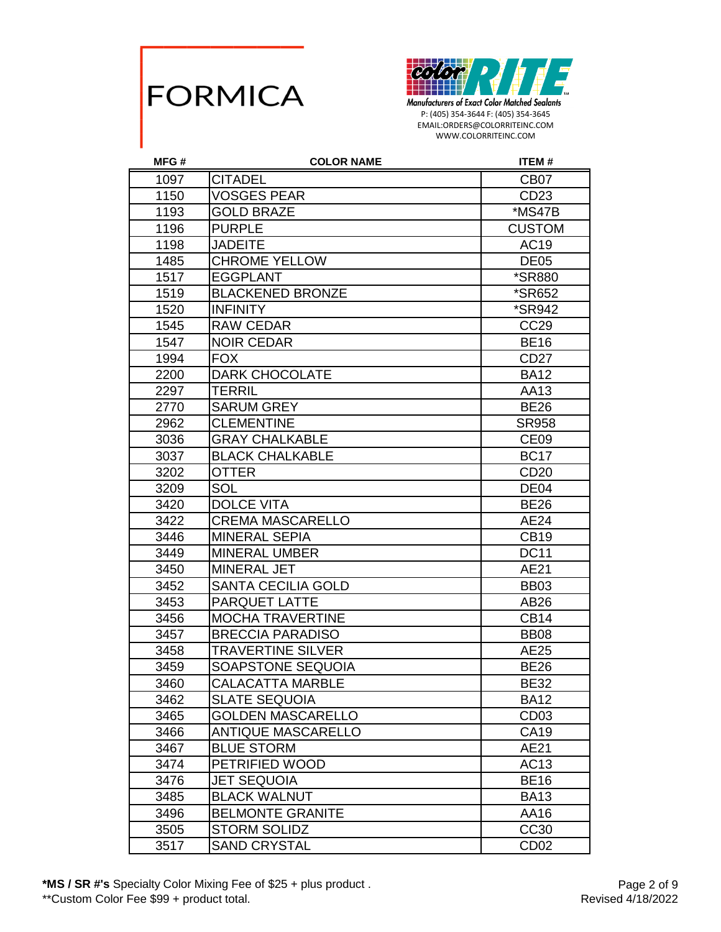



| MFG# | <b>COLOR NAME</b>         | ITEM#                |
|------|---------------------------|----------------------|
| 1097 | <b>CITADEL</b>            | CB <sub>07</sub>     |
| 1150 | <b>VOSGES PEAR</b>        | CD23                 |
| 1193 | <b>GOLD BRAZE</b>         | *MS47B               |
| 1196 | <b>PURPLE</b>             | <b>CUSTOM</b>        |
| 1198 | <b>JADEITE</b>            | <b>AC19</b>          |
| 1485 | <b>CHROME YELLOW</b>      | DE <sub>05</sub>     |
| 1517 | <b>EGGPLANT</b>           | *SR880               |
| 1519 | <b>BLACKENED BRONZE</b>   | <i><b>*SR652</b></i> |
| 1520 | <b>INFINITY</b>           | <i><b>*SR942</b></i> |
| 1545 | <b>RAW CEDAR</b>          | CC <sub>29</sub>     |
| 1547 | <b>NOIR CEDAR</b>         | <b>BE16</b>          |
| 1994 | <b>FOX</b>                | CD <sub>27</sub>     |
| 2200 | <b>DARK CHOCOLATE</b>     | <b>BA12</b>          |
| 2297 | <b>TERRIL</b>             | AA13                 |
| 2770 | <b>SARUM GREY</b>         | <b>BE26</b>          |
| 2962 | <b>CLEMENTINE</b>         | <b>SR958</b>         |
| 3036 | <b>GRAY CHALKABLE</b>     | CE <sub>09</sub>     |
| 3037 | <b>BLACK CHALKABLE</b>    | <b>BC17</b>          |
| 3202 | <b>OTTER</b>              | CD <sub>20</sub>     |
| 3209 | SOL                       | DE <sub>04</sub>     |
| 3420 | <b>DOLCE VITA</b>         | <b>BE26</b>          |
| 3422 | <b>CREMA MASCARELLO</b>   | AE24                 |
| 3446 | <b>MINERAL SEPIA</b>      | <b>CB19</b>          |
| 3449 | <b>MINERAL UMBER</b>      | <b>DC11</b>          |
| 3450 | MINERAL JET               | AE21                 |
| 3452 | <b>SANTA CECILIA GOLD</b> | <b>BB03</b>          |
| 3453 | <b>PARQUET LATTE</b>      | AB26                 |
| 3456 | <b>MOCHA TRAVERTINE</b>   | <b>CB14</b>          |
| 3457 | <b>BRECCIA PARADISO</b>   | <b>BB08</b>          |
| 3458 | <b>TRAVERTINE SILVER</b>  | AE25                 |
| 3459 | SOAPSTONE SEQUOIA         | <b>BE26</b>          |
| 3460 | CALACATTA MARBLE          | <b>BE32</b>          |
| 3462 | <b>SLATE SEQUOIA</b>      | <b>BA12</b>          |
| 3465 | <b>GOLDEN MASCARELLO</b>  | CD <sub>03</sub>     |
| 3466 | <b>ANTIQUE MASCARELLO</b> | <b>CA19</b>          |
| 3467 | <b>BLUE STORM</b>         | AE21                 |
| 3474 | PETRIFIED WOOD            | AC13                 |
| 3476 | <b>JET SEQUOIA</b>        | <b>BE16</b>          |
| 3485 | <b>BLACK WALNUT</b>       | <b>BA13</b>          |
| 3496 | <b>BELMONTE GRANITE</b>   | AA16                 |
| 3505 | <b>STORM SOLIDZ</b>       | CC30                 |
| 3517 | <b>SAND CRYSTAL</b>       | CD <sub>02</sub>     |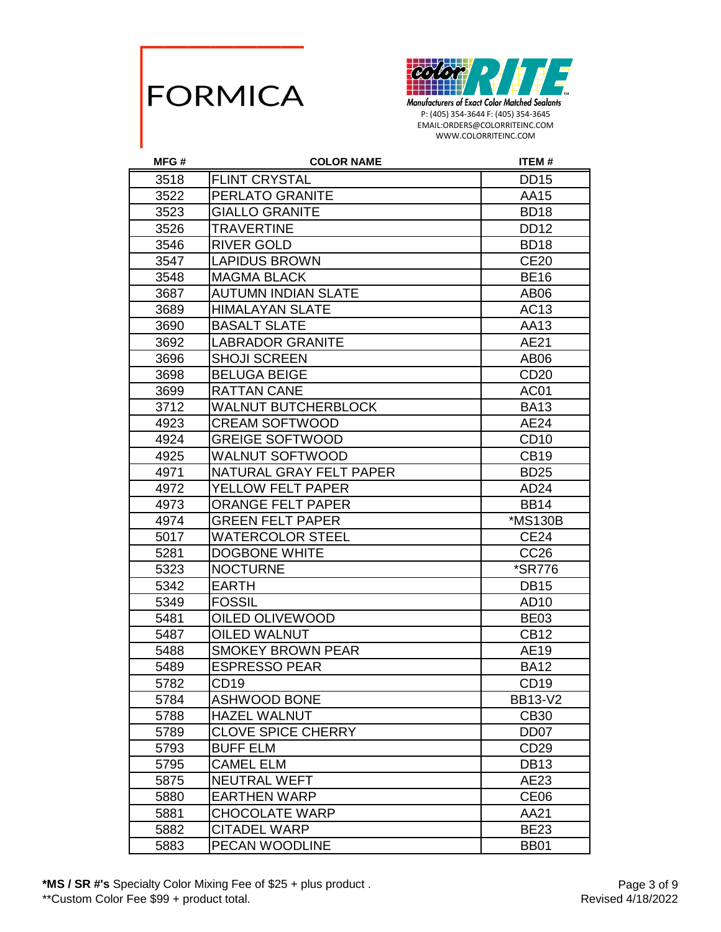



| MFG# | <b>COLOR NAME</b>          | ITEM#                |
|------|----------------------------|----------------------|
| 3518 | <b>FLINT CRYSTAL</b>       | <b>DD15</b>          |
| 3522 | PERLATO GRANITE            | AA15                 |
| 3523 | <b>GIALLO GRANITE</b>      | BD <sub>18</sub>     |
| 3526 | TRAVERTINE                 | <b>DD12</b>          |
| 3546 | <b>RIVER GOLD</b>          | <b>BD18</b>          |
| 3547 | <b>LAPIDUS BROWN</b>       | <b>CE20</b>          |
| 3548 | <b>MAGMA BLACK</b>         | <b>BE16</b>          |
| 3687 | <b>AUTUMN INDIAN SLATE</b> | AB <sub>06</sub>     |
| 3689 | <b>HIMALAYAN SLATE</b>     | AC13                 |
| 3690 | <b>BASALT SLATE</b>        | AA13                 |
| 3692 | <b>LABRADOR GRANITE</b>    | AE21                 |
| 3696 | <b>SHOJI SCREEN</b>        | AB06                 |
| 3698 | <b>BELUGA BEIGE</b>        | CD <sub>20</sub>     |
| 3699 | <b>RATTAN CANE</b>         | AC01                 |
| 3712 | <b>WALNUT BUTCHERBLOCK</b> | <b>BA13</b>          |
| 4923 | <b>CREAM SOFTWOOD</b>      | AE24                 |
| 4924 | <b>GREIGE SOFTWOOD</b>     | CD <sub>10</sub>     |
| 4925 | <b>WALNUT SOFTWOOD</b>     | <b>CB19</b>          |
| 4971 | NATURAL GRAY FELT PAPER    | <b>BD25</b>          |
| 4972 | YELLOW FELT PAPER          | AD <sub>24</sub>     |
| 4973 | <b>ORANGE FELT PAPER</b>   | <b>BB14</b>          |
| 4974 | <b>GREEN FELT PAPER</b>    | *MS130B              |
| 5017 | <b>WATERCOLOR STEEL</b>    | <b>CE24</b>          |
| 5281 | <b>DOGBONE WHITE</b>       | CC <sub>26</sub>     |
| 5323 | <b>NOCTURNE</b>            | <i><b>*SR776</b></i> |
| 5342 | <b>EARTH</b>               | <b>DB15</b>          |
| 5349 | <b>FOSSIL</b>              | AD <sub>10</sub>     |
| 5481 | OILED OLIVEWOOD            | <b>BE03</b>          |
| 5487 | <b>OILED WALNUT</b>        | <b>CB12</b>          |
| 5488 | <b>SMOKEY BROWN PEAR</b>   | AE19                 |
| 5489 | <b>ESPRESSO PEAR</b>       | <b>BA12</b>          |
| 5782 | CD <sub>19</sub>           | CD <sub>19</sub>     |
| 5784 | ASHWOOD BONE               | <b>BB13-V2</b>       |
| 5788 | <b>HAZEL WALNUT</b>        | CB30                 |
| 5789 | <b>CLOVE SPICE CHERRY</b>  | DD <sub>07</sub>     |
| 5793 | <b>BUFF ELM</b>            | CD <sub>29</sub>     |
| 5795 | <b>CAMEL ELM</b>           | <b>DB13</b>          |
| 5875 | <b>NEUTRAL WEFT</b>        | AE23                 |
| 5880 | <b>EARTHEN WARP</b>        | CE <sub>06</sub>     |
| 5881 | <b>CHOCOLATE WARP</b>      | AA21                 |
| 5882 | <b>CITADEL WARP</b>        | <b>BE23</b>          |
| 5883 | PECAN WOODLINE             | <b>BB01</b>          |

**\*MS / SR #'s** Specialty Color Mixing Fee of \$25 + plus product .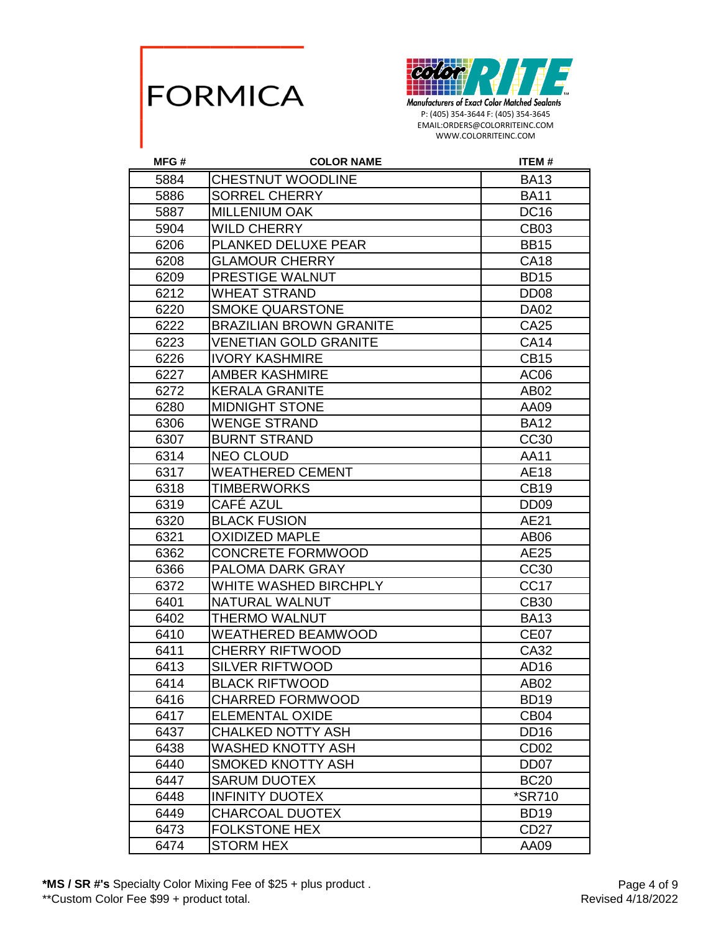



| MFG# | <b>COLOR NAME</b>              | <b>ITEM#</b>         |
|------|--------------------------------|----------------------|
| 5884 | CHESTNUT WOODLINE              | <b>BA13</b>          |
| 5886 | <b>SORREL CHERRY</b>           | <b>BA11</b>          |
| 5887 | <b>MILLENIUM OAK</b>           | <b>DC16</b>          |
| 5904 | <b>WILD CHERRY</b>             | CB <sub>03</sub>     |
| 6206 | PLANKED DELUXE PEAR            | <b>BB15</b>          |
| 6208 | <b>GLAMOUR CHERRY</b>          | <b>CA18</b>          |
| 6209 | PRESTIGE WALNUT                | <b>BD15</b>          |
| 6212 | <b>WHEAT STRAND</b>            | DD <sub>08</sub>     |
| 6220 | <b>SMOKE QUARSTONE</b>         | <b>DA02</b>          |
| 6222 | <b>BRAZILIAN BROWN GRANITE</b> | CA25                 |
| 6223 | <b>VENETIAN GOLD GRANITE</b>   | <b>CA14</b>          |
| 6226 | <b>IVORY KASHMIRE</b>          | <b>CB15</b>          |
| 6227 | <b>AMBER KASHMIRE</b>          | AC <sub>06</sub>     |
| 6272 | <b>KERALA GRANITE</b>          | AB <sub>02</sub>     |
| 6280 | <b>MIDNIGHT STONE</b>          | AA09                 |
| 6306 | <b>WENGE STRAND</b>            | <b>BA12</b>          |
| 6307 | <b>BURNT STRAND</b>            | CC30                 |
| 6314 | <b>NEO CLOUD</b>               | AA11                 |
| 6317 | <b>WEATHERED CEMENT</b>        | AE18                 |
| 6318 | <b>TIMBERWORKS</b>             | <b>CB19</b>          |
| 6319 | CAFÉ AZUL                      | DD <sub>09</sub>     |
| 6320 | <b>BLACK FUSION</b>            | AE21                 |
| 6321 | <b>OXIDIZED MAPLE</b>          | AB <sub>06</sub>     |
| 6362 | <b>CONCRETE FORMWOOD</b>       | AE25                 |
| 6366 | PALOMA DARK GRAY               | CC30                 |
| 6372 | WHITE WASHED BIRCHPLY          | CC <sub>17</sub>     |
| 6401 | NATURAL WALNUT                 | <b>CB30</b>          |
| 6402 | THERMO WALNUT                  | <b>BA13</b>          |
| 6410 | WEATHERED BEAMWOOD             | CE <sub>07</sub>     |
| 6411 | <b>CHERRY RIFTWOOD</b>         | CA32                 |
| 6413 | <b>SILVER RIFTWOOD</b>         | AD <sub>16</sub>     |
| 6414 | <b>BLACK RIFTWOOD</b>          | AB02                 |
| 6416 | <b>CHARRED FORMWOOD</b>        | BD <sub>19</sub>     |
| 6417 | <b>ELEMENTAL OXIDE</b>         | CB <sub>04</sub>     |
| 6437 | <b>CHALKED NOTTY ASH</b>       | DD <sub>16</sub>     |
| 6438 | WASHED KNOTTY ASH              | CD <sub>02</sub>     |
| 6440 | <b>SMOKED KNOTTY ASH</b>       | DD <sub>07</sub>     |
| 6447 | <b>SARUM DUOTEX</b>            | <b>BC20</b>          |
| 6448 | <b>INFINITY DUOTEX</b>         | <i><b>*SR710</b></i> |
| 6449 | <b>CHARCOAL DUOTEX</b>         | <b>BD19</b>          |
| 6473 | <b>FOLKSTONE HEX</b>           | CD <sub>27</sub>     |
| 6474 | <b>STORM HEX</b>               | AA09                 |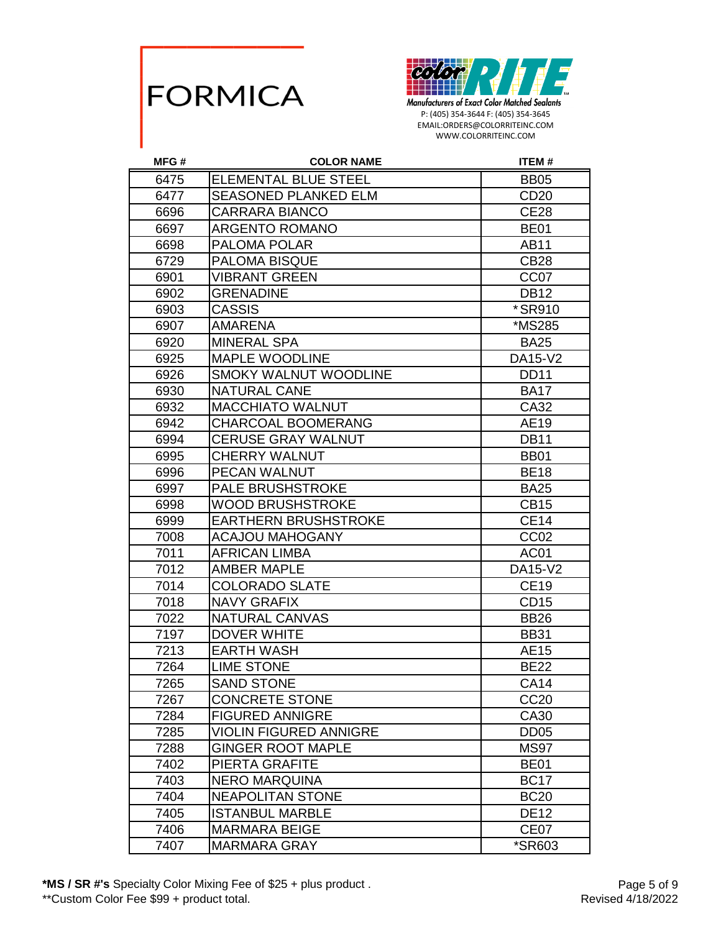



| MFG# | <b>COLOR NAME</b>             | <b>ITEM#</b>     |
|------|-------------------------------|------------------|
| 6475 | <b>ELEMENTAL BLUE STEEL</b>   | <b>BB05</b>      |
| 6477 | <b>SEASONED PLANKED ELM</b>   | CD <sub>20</sub> |
| 6696 | <b>CARRARA BIANCO</b>         | <b>CE28</b>      |
| 6697 | <b>ARGENTO ROMANO</b>         | <b>BE01</b>      |
| 6698 | PALOMA POLAR                  | AB11             |
| 6729 | PALOMA BISQUE                 | <b>CB28</b>      |
| 6901 | <b>VIBRANT GREEN</b>          | CC <sub>07</sub> |
| 6902 | <b>GRENADINE</b>              | <b>DB12</b>      |
| 6903 | <b>CASSIS</b>                 | *SR910           |
| 6907 | <b>AMARENA</b>                | *MS285           |
| 6920 | <b>MINERAL SPA</b>            | <b>BA25</b>      |
| 6925 | MAPLE WOODLINE                | DA15-V2          |
| 6926 | <b>SMOKY WALNUT WOODLINE</b>  | <b>DD11</b>      |
| 6930 | <b>NATURAL CANE</b>           | <b>BA17</b>      |
| 6932 | <b>MACCHIATO WALNUT</b>       | CA32             |
| 6942 | <b>CHARCOAL BOOMERANG</b>     | AE19             |
| 6994 | <b>CERUSE GRAY WALNUT</b>     | <b>DB11</b>      |
| 6995 | <b>CHERRY WALNUT</b>          | <b>BB01</b>      |
| 6996 | PECAN WALNUT                  | <b>BE18</b>      |
| 6997 | <b>PALE BRUSHSTROKE</b>       | <b>BA25</b>      |
| 6998 | <b>WOOD BRUSHSTROKE</b>       | <b>CB15</b>      |
| 6999 | <b>EARTHERN BRUSHSTROKE</b>   | <b>CE14</b>      |
| 7008 | <b>ACAJOU MAHOGANY</b>        | CC <sub>02</sub> |
| 7011 | <b>AFRICAN LIMBA</b>          | AC01             |
| 7012 | <b>AMBER MAPLE</b>            | DA15-V2          |
| 7014 | <b>COLORADO SLATE</b>         | <b>CE19</b>      |
| 7018 | <b>NAVY GRAFIX</b>            | CD <sub>15</sub> |
| 7022 | NATURAL CANVAS                | <b>BB26</b>      |
| 7197 | <b>DOVER WHITE</b>            | <b>BB31</b>      |
| 7213 | <b>EARTH WASH</b>             | AE15             |
| 7264 | <b>LIME STONE</b>             | <b>BE22</b>      |
| 7265 | <b>SAND STONE</b>             | <b>CA14</b>      |
| 7267 | <b>CONCRETE STONE</b>         | CC <sub>20</sub> |
| 7284 | <b>FIGURED ANNIGRE</b>        | CA30             |
| 7285 | <b>VIOLIN FIGURED ANNIGRE</b> | DD <sub>05</sub> |
| 7288 | <b>GINGER ROOT MAPLE</b>      | <b>MS97</b>      |
| 7402 | PIERTA GRAFITE                | <b>BE01</b>      |
| 7403 | <b>NERO MARQUINA</b>          | <b>BC17</b>      |
| 7404 | <b>NEAPOLITAN STONE</b>       | <b>BC20</b>      |
| 7405 | <b>ISTANBUL MARBLE</b>        | <b>DE12</b>      |
| 7406 | <b>MARMARA BEIGE</b>          | CE <sub>07</sub> |
| 7407 | <b>MARMARA GRAY</b>           | *SR603           |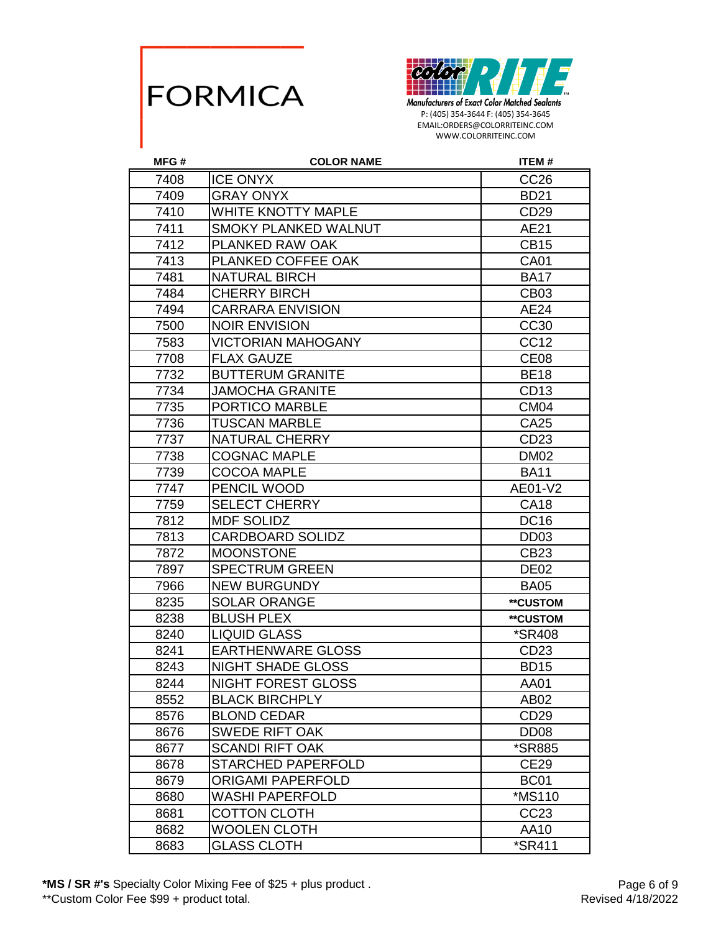



| MFG# | <b>COLOR NAME</b>           | <b>ITEM#</b>         |
|------|-----------------------------|----------------------|
| 7408 | <b>ICE ONYX</b>             | CC <sub>26</sub>     |
| 7409 | <b>GRAY ONYX</b>            | <b>BD21</b>          |
| 7410 | <b>WHITE KNOTTY MAPLE</b>   | CD29                 |
| 7411 | <b>SMOKY PLANKED WALNUT</b> | AE21                 |
| 7412 | PLANKED RAW OAK             | <b>CB15</b>          |
| 7413 | PLANKED COFFEE OAK          | <b>CA01</b>          |
| 7481 | <b>NATURAL BIRCH</b>        | <b>BA17</b>          |
| 7484 | <b>CHERRY BIRCH</b>         | <b>CB03</b>          |
| 7494 | <b>CARRARA ENVISION</b>     | <b>AE24</b>          |
| 7500 | <b>NOIR ENVISION</b>        | CC30                 |
| 7583 | <b>VICTORIAN MAHOGANY</b>   | CC12                 |
| 7708 | <b>FLAX GAUZE</b>           | CE <sub>08</sub>     |
| 7732 | <b>BUTTERUM GRANITE</b>     | <b>BE18</b>          |
| 7734 | <b>JAMOCHA GRANITE</b>      | CD <sub>13</sub>     |
| 7735 | PORTICO MARBLE              | CM <sub>04</sub>     |
| 7736 | <b>TUSCAN MARBLE</b>        | CA25                 |
| 7737 | <b>NATURAL CHERRY</b>       | CD <sub>23</sub>     |
| 7738 | <b>COGNAC MAPLE</b>         | <b>DM02</b>          |
| 7739 | <b>COCOA MAPLE</b>          | <b>BA11</b>          |
| 7747 | PENCIL WOOD                 | AE01-V2              |
| 7759 | <b>SELECT CHERRY</b>        | <b>CA18</b>          |
| 7812 | <b>MDF SOLIDZ</b>           | <b>DC16</b>          |
| 7813 | <b>CARDBOARD SOLIDZ</b>     | DD <sub>03</sub>     |
| 7872 | <b>MOONSTONE</b>            | CB23                 |
| 7897 | <b>SPECTRUM GREEN</b>       | DE <sub>02</sub>     |
| 7966 | <b>NEW BURGUNDY</b>         | <b>BA05</b>          |
| 8235 | <b>SOLAR ORANGE</b>         | **CUSTOM             |
| 8238 | <b>BLUSH PLEX</b>           | **CUSTOM             |
| 8240 | <b>LIQUID GLASS</b>         | <i><b>*SR408</b></i> |
| 8241 | <b>EARTHENWARE GLOSS</b>    | CD <sub>23</sub>     |
| 8243 | <b>NIGHT SHADE GLOSS</b>    | <b>BD15</b>          |
| 8244 | NIGHT FOREST GLOSS          | AA01                 |
| 8552 | <b>BLACK BIRCHPLY</b>       | AB <sub>02</sub>     |
| 8576 | <b>BLOND CEDAR</b>          | CD <sub>29</sub>     |
| 8676 | <b>SWEDE RIFT OAK</b>       | DD <sub>08</sub>     |
| 8677 | <b>SCANDI RIFT OAK</b>      | <i><b>*SR885</b></i> |
| 8678 | <b>STARCHED PAPERFOLD</b>   | <b>CE29</b>          |
| 8679 | <b>ORIGAMI PAPERFOLD</b>    | BC <sub>01</sub>     |
| 8680 | WASHI PAPERFOLD             | *MS110               |
| 8681 | <b>COTTON CLOTH</b>         | CC <sub>23</sub>     |
| 8682 | <b>WOOLEN CLOTH</b>         | AA10                 |
| 8683 | <b>GLASS CLOTH</b>          | *SR411               |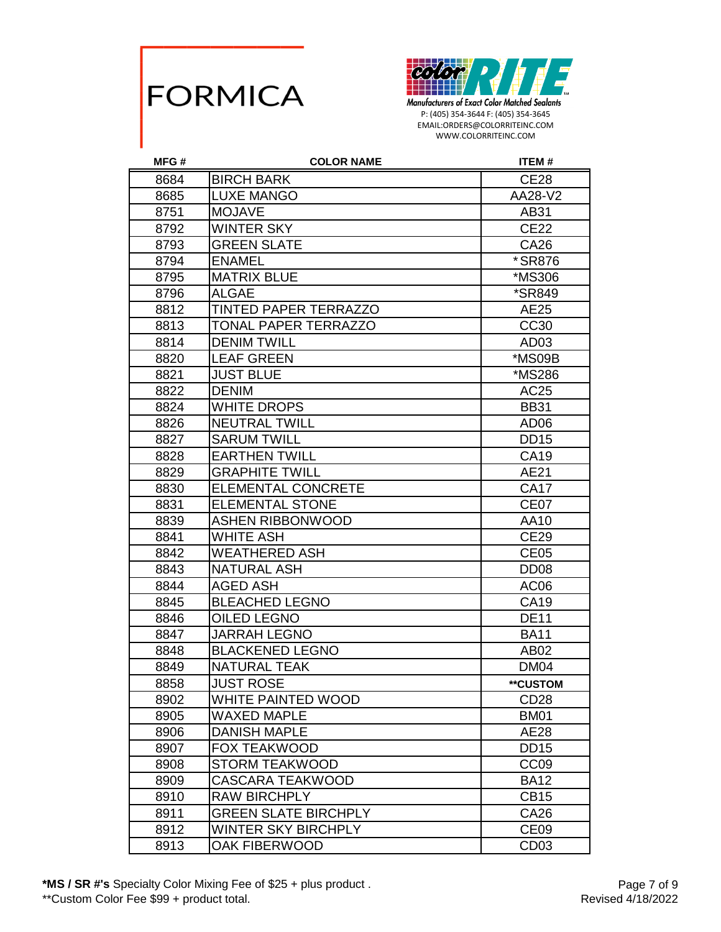



| MFG# | <b>COLOR NAME</b>            | <b>ITEM#</b>         |
|------|------------------------------|----------------------|
| 8684 | <b>BIRCH BARK</b>            | <b>CE28</b>          |
| 8685 | <b>LUXE MANGO</b>            | AA28-V2              |
| 8751 | <b>MOJAVE</b>                | AB31                 |
| 8792 | <b>WINTER SKY</b>            | <b>CE22</b>          |
| 8793 | <b>GREEN SLATE</b>           | CA26                 |
| 8794 | <b>ENAMEL</b>                | *SR876               |
| 8795 | <b>MATRIX BLUE</b>           | *MS306               |
| 8796 | <b>ALGAE</b>                 | <i><b>*SR849</b></i> |
| 8812 | <b>TINTED PAPER TERRAZZO</b> | AE25                 |
| 8813 | <b>TONAL PAPER TERRAZZO</b>  | CC <sub>30</sub>     |
| 8814 | <b>DENIM TWILL</b>           | AD <sub>03</sub>     |
| 8820 | <b>LEAF GREEN</b>            | *MS09B               |
| 8821 | <b>JUST BLUE</b>             | *MS286               |
| 8822 | <b>DENIM</b>                 | AC25                 |
| 8824 | <b>WHITE DROPS</b>           | <b>BB31</b>          |
| 8826 | <b>NEUTRAL TWILL</b>         | AD <sub>06</sub>     |
| 8827 | <b>SARUM TWILL</b>           | <b>DD15</b>          |
| 8828 | <b>EARTHEN TWILL</b>         | CA19                 |
| 8829 | <b>GRAPHITE TWILL</b>        | AE21                 |
| 8830 | <b>ELEMENTAL CONCRETE</b>    | <b>CA17</b>          |
| 8831 | <b>ELEMENTAL STONE</b>       | CE <sub>07</sub>     |
| 8839 | <b>ASHEN RIBBONWOOD</b>      | AA10                 |
| 8841 | WHITE ASH                    | <b>CE29</b>          |
| 8842 | <b>WEATHERED ASH</b>         | <b>CE05</b>          |
| 8843 | <b>NATURAL ASH</b>           | DD <sub>08</sub>     |
| 8844 | <b>AGED ASH</b>              | AC <sub>06</sub>     |
| 8845 | <b>BLEACHED LEGNO</b>        | <b>CA19</b>          |
| 8846 | <b>OILED LEGNO</b>           | <b>DE11</b>          |
| 8847 | <b>JARRAH LEGNO</b>          | <b>BA11</b>          |
| 8848 | <b>BLACKENED LEGNO</b>       | AB02                 |
| 8849 | <b>NATURAL TEAK</b>          | DM04                 |
| 8858 | <b>JUST ROSE</b>             | **CUSTOM             |
| 8902 | WHITE PAINTED WOOD           | CD <sub>28</sub>     |
| 8905 | WAXED MAPLE                  | <b>BM01</b>          |
| 8906 | <b>DANISH MAPLE</b>          | AE28                 |
| 8907 | <b>FOX TEAKWOOD</b>          | <b>DD15</b>          |
| 8908 | <b>STORM TEAKWOOD</b>        | CC <sub>09</sub>     |
| 8909 | <b>CASCARA TEAKWOOD</b>      | <b>BA12</b>          |
| 8910 | RAW BIRCHPLY                 | <b>CB15</b>          |
| 8911 | <b>GREEN SLATE BIRCHPLY</b>  | CA26                 |
| 8912 | WINTER SKY BIRCHPLY          | CE <sub>09</sub>     |
| 8913 | <b>OAK FIBERWOOD</b>         | CD <sub>03</sub>     |

**\*MS / SR #'s** Specialty Color Mixing Fee of \$25 + plus product .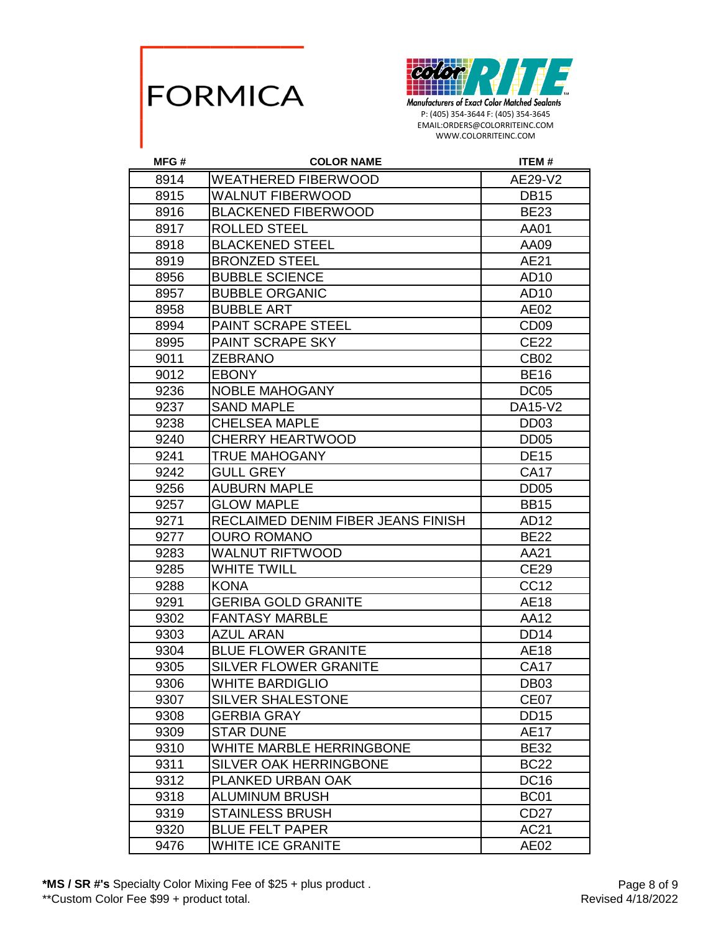



| MFG# | <b>COLOR NAME</b>                  | <b>ITEM#</b>     |
|------|------------------------------------|------------------|
| 8914 | <b>WEATHERED FIBERWOOD</b>         | AE29-V2          |
| 8915 | <b>WALNUT FIBERWOOD</b>            | <b>DB15</b>      |
| 8916 | <b>BLACKENED FIBERWOOD</b>         | <b>BE23</b>      |
| 8917 | <b>ROLLED STEEL</b>                | AA01             |
| 8918 | <b>BLACKENED STEEL</b>             | AA09             |
| 8919 | <b>BRONZED STEEL</b>               | AE21             |
| 8956 | <b>BUBBLE SCIENCE</b>              | AD10             |
| 8957 | <b>BUBBLE ORGANIC</b>              | AD10             |
| 8958 | <b>BUBBLE ART</b>                  | AE02             |
| 8994 | PAINT SCRAPE STEEL                 | CD <sub>09</sub> |
| 8995 | PAINT SCRAPE SKY                   | <b>CE22</b>      |
| 9011 | <b>ZEBRANO</b>                     | <b>CB02</b>      |
| 9012 | <b>EBONY</b>                       | <b>BE16</b>      |
| 9236 | <b>NOBLE MAHOGANY</b>              | DC <sub>05</sub> |
| 9237 | <b>SAND MAPLE</b>                  | DA15-V2          |
| 9238 | <b>CHELSEA MAPLE</b>               | DD <sub>03</sub> |
| 9240 | <b>CHERRY HEARTWOOD</b>            | <b>DD05</b>      |
| 9241 | <b>TRUE MAHOGANY</b>               | <b>DE15</b>      |
| 9242 | <b>GULL GREY</b>                   | <b>CA17</b>      |
| 9256 | <b>AUBURN MAPLE</b>                | DD <sub>05</sub> |
| 9257 | <b>GLOW MAPLE</b>                  | <b>BB15</b>      |
| 9271 | RECLAIMED DENIM FIBER JEANS FINISH | AD12             |
| 9277 | <b>OURO ROMANO</b>                 | <b>BE22</b>      |
| 9283 | <b>WALNUT RIFTWOOD</b>             | AA21             |
| 9285 | <b>WHITE TWILL</b>                 | <b>CE29</b>      |
| 9288 | <b>KONA</b>                        | <b>CC12</b>      |
| 9291 | <b>GERIBA GOLD GRANITE</b>         | <b>AE18</b>      |
| 9302 | <b>FANTASY MARBLE</b>              | AA12             |
| 9303 | <b>AZUL ARAN</b>                   | <b>DD14</b>      |
| 9304 | <b>BLUE FLOWER GRANITE</b>         | <b>AE18</b>      |
| 9305 | <b>SILVER FLOWER GRANITE</b>       | <b>CA17</b>      |
| 9306 | <b>WHITE BARDIGLIO</b>             | <b>DB03</b>      |
| 9307 | <b>SILVER SHALESTONE</b>           | CE07             |
| 9308 | <b>GERBIA GRAY</b>                 | <b>DD15</b>      |
| 9309 | <b>STAR DUNE</b>                   | <b>AE17</b>      |
| 9310 | WHITE MARBLE HERRINGBONE           | <b>BE32</b>      |
| 9311 | <b>SILVER OAK HERRINGBONE</b>      | <b>BC22</b>      |
| 9312 | PLANKED URBAN OAK                  | <b>DC16</b>      |
| 9318 | <b>ALUMINUM BRUSH</b>              | <b>BC01</b>      |
| 9319 | <b>STAINLESS BRUSH</b>             | CD <sub>27</sub> |
| 9320 | <b>BLUE FELT PAPER</b>             | AC21             |
| 9476 | <b>WHITE ICE GRANITE</b>           | AE02             |

**\*MS / SR #'s** Specialty Color Mixing Fee of \$25 + plus product .